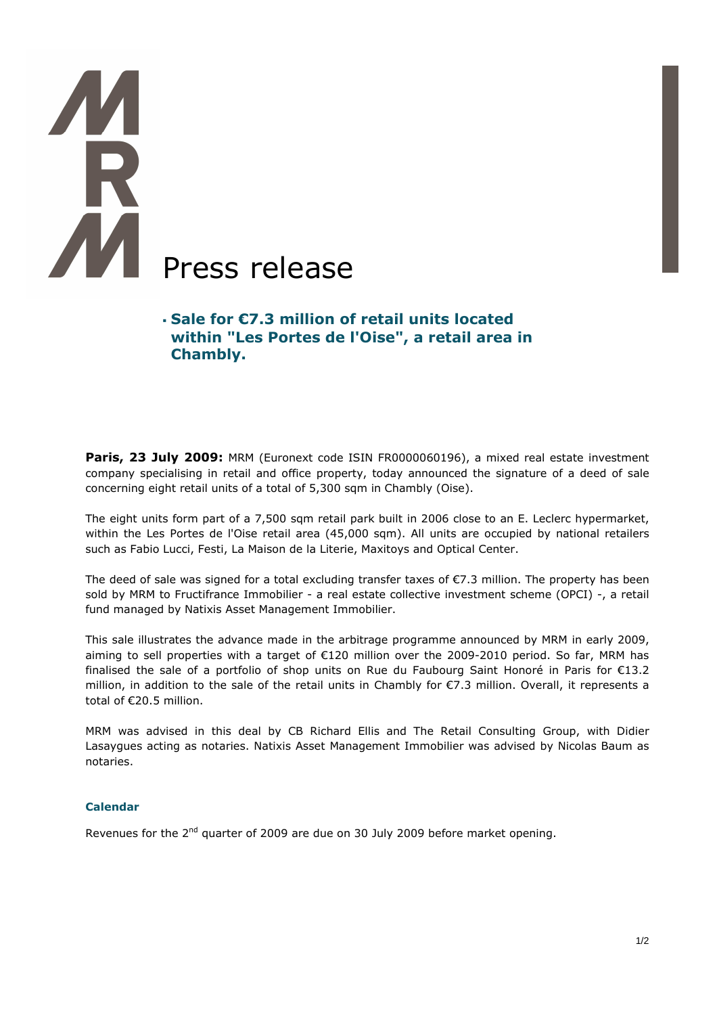# **TAR** Press release

# **Sale for €7.3 million of retail units located within "Les Portes de l'Oise", a retail area in Chambly.**

Paris, 23 July 2009: MRM (Euronext code ISIN FR0000060196), a mixed real estate investment company specialising in retail and office property, today announced the signature of a deed of sale concerning eight retail units of a total of 5,300 sqm in Chambly (Oise).

The eight units form part of a 7,500 sqm retail park built in 2006 close to an E. Leclerc hypermarket, within the Les Portes de l'Oise retail area (45,000 sqm). All units are occupied by national retailers such as Fabio Lucci, Festi, La Maison de la Literie, Maxitoys and Optical Center.

The deed of sale was signed for a total excluding transfer taxes of €7.3 million. The property has been sold by MRM to Fructifrance Immobilier - a real estate collective investment scheme (OPCI) -, a retail fund managed by Natixis Asset Management Immobilier.

This sale illustrates the advance made in the arbitrage programme announced by MRM in early 2009, aiming to sell properties with a target of €120 million over the 2009-2010 period. So far, MRM has finalised the sale of a portfolio of shop units on Rue du Faubourg Saint Honoré in Paris for €13.2 million, in addition to the sale of the retail units in Chambly for €7.3 million. Overall, it represents a total of €20.5 million.

MRM was advised in this deal by CB Richard Ellis and The Retail Consulting Group, with Didier Lasaygues acting as notaries. Natixis Asset Management Immobilier was advised by Nicolas Baum as notaries.

# **Calendar**

Revenues for the 2<sup>nd</sup> quarter of 2009 are due on 30 July 2009 before market opening.